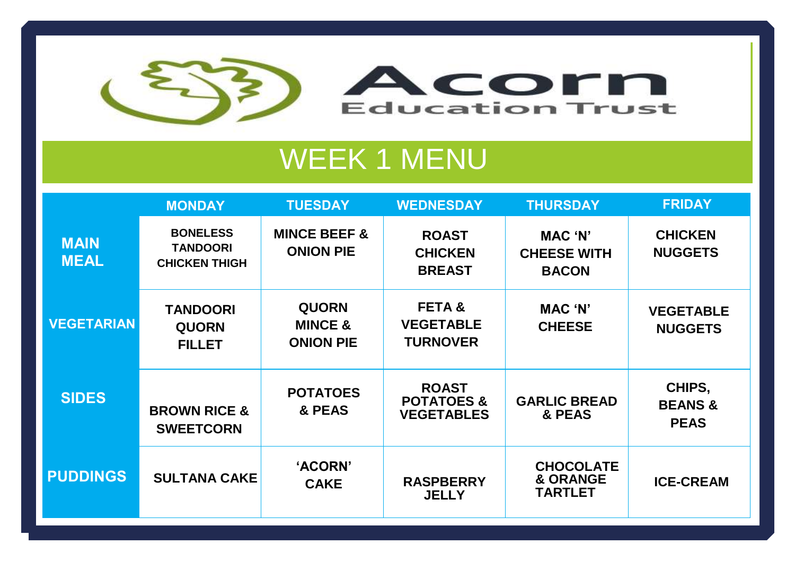

## **WEEK 1 MENU**

|                            | <b>MONDAY</b>                                              | <b>TUESDAY</b>                                         | <b>WEDNESDAY</b>                                           | <b>THURSDAY</b>                                           | <b>FRIDAY</b>                               |
|----------------------------|------------------------------------------------------------|--------------------------------------------------------|------------------------------------------------------------|-----------------------------------------------------------|---------------------------------------------|
| <b>MAIN</b><br><b>MEAL</b> | <b>BONELESS</b><br><b>TANDOORI</b><br><b>CHICKEN THIGH</b> | <b>MINCE BEEF &amp;</b><br><b>ONION PIE</b>            | <b>ROAST</b><br><b>CHICKEN</b><br><b>BREAST</b>            | <b>MAC 'N'</b><br><b>CHEESE WITH</b><br><b>BACON</b>      | <b>CHICKEN</b><br><b>NUGGETS</b>            |
| <b>VEGETARIAN</b>          | <b>TANDOORI</b><br><b>QUORN</b><br><b>FILLET</b>           | <b>QUORN</b><br><b>MINCE &amp;</b><br><b>ONION PIE</b> | <b>FETA&amp;</b><br><b>VEGETABLE</b><br><b>TURNOVER</b>    | MAC 'N'<br><b>CHEESE</b>                                  | <b>VEGETABLE</b><br><b>NUGGETS</b>          |
| <b>SIDES</b>               | <b>BROWN RICE &amp;</b><br><b>SWEETCORN</b>                | <b>POTATOES</b><br>& PEAS                              | <b>ROAST</b><br><b>POTATOES &amp;</b><br><b>VEGETABLES</b> | <b>GARLIC BREAD</b><br>& PEAS                             | CHIPS,<br><b>BEANS &amp;</b><br><b>PEAS</b> |
| <b>PUDDINGS</b>            | <b>SULTANA CAKE</b>                                        | 'ACORN'<br><b>CAKE</b>                                 | <b>RASPBERRY</b><br><b>JELLY</b>                           | <b>CHOCOLATE</b><br><b>&amp; ORANGE</b><br><b>TARTLET</b> | <b>ICE-CREAM</b>                            |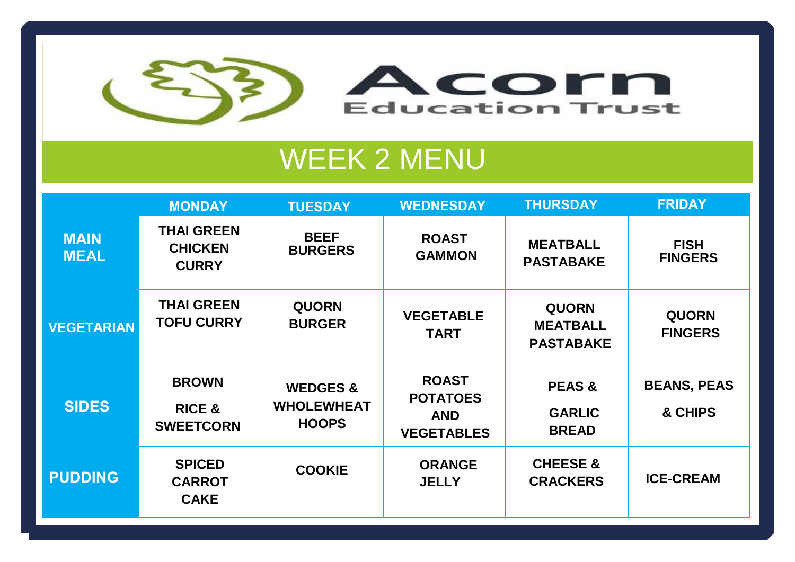

## WEEK 2 MENU

|                            | <b>MONDAY</b>                                         | <b>TUESDAY</b>                                           | <b>WEDNESDAY</b>                                                   | <b>THURSDAY</b>                                     | <b>FRIDAY</b>                  |
|----------------------------|-------------------------------------------------------|----------------------------------------------------------|--------------------------------------------------------------------|-----------------------------------------------------|--------------------------------|
| <b>MAIN</b><br><b>MEAL</b> | <b>THAI GREEN</b><br><b>CHICKEN</b><br><b>CURRY</b>   | <b>BEEF</b><br><b>BURGERS</b>                            | <b>ROAST</b><br><b>GAMMON</b>                                      | <b>MEATBALL</b><br><b>PASTABAKE</b>                 | <b>FISH</b><br><b>FINGERS</b>  |
| <b>VEGETARIAN</b>          | <b>THAI GREEN</b><br><b>TOFU CURRY</b>                | <b>QUORN</b><br><b>BURGER</b>                            | <b>VEGETABLE</b><br><b>TART</b>                                    | <b>QUORN</b><br><b>MEATBALL</b><br><b>PASTABAKE</b> | <b>QUORN</b><br><b>FINGERS</b> |
| <b>SIDES</b>               | <b>BROWN</b><br><b>RICE &amp;</b><br><b>SWEETCORN</b> | <b>WEDGES &amp;</b><br><b>WHOLEWHEAT</b><br><b>HOOPS</b> | <b>ROAST</b><br><b>POTATOES</b><br><b>AND</b><br><b>VEGETABLES</b> | <b>PEAS &amp;</b><br><b>GARLIC</b><br><b>BREAD</b>  | <b>BEANS, PEAS</b><br>& CHIPS  |
| <b>PUDDING</b>             | <b>SPICED</b><br><b>CARROT</b><br><b>CAKE</b>         | <b>COOKIE</b>                                            | <b>ORANGE</b><br><b>JELLY</b>                                      | <b>CHEESE &amp;</b><br><b>CRACKERS</b>              | <b>ICE-CREAM</b>               |